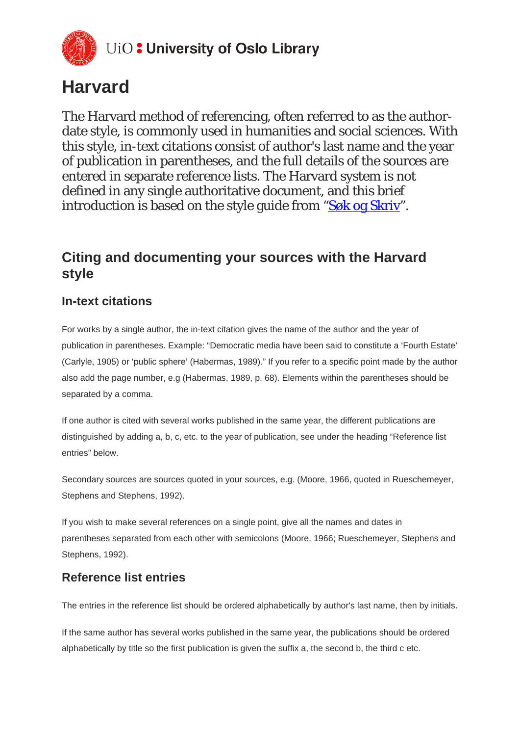

# **Harvard**

The Harvard method of referencing, often referred to as the authordate style, is commonly used in humanities and social sciences. With this style, in-text citations consist of author's last name and the year of publication in parentheses, and the full details of the sources are entered in separate reference lists. The Harvard system is not defined in any single authoritative document, and this brief introduction is based on the style guide from ["Søk og Skriv"](http://sokogskriv.no/kildebruk-og-referanser/referansestiler/harvard/).

## **Citing and documenting your sources with the Harvard style**

## **In-text citations**

For works by a single author, the in-text citation gives the name of the author and the year of publication in parentheses. Example: "Democratic media have been said to constitute a 'Fourth Estate' (Carlyle, 1905) or 'public sphere' (Habermas, 1989)." If you refer to a specific point made by the author also add the page number, e.g (Habermas, 1989, p. 68). Elements within the parentheses should be separated by a comma.

If one author is cited with several works published in the same year, the different publications are distinguished by adding a, b, c, etc. to the year of publication, see under the heading "Reference list entries" below.

Secondary sources are sources quoted in your sources, e.g. (Moore, 1966, quoted in Rueschemeyer, Stephens and Stephens, 1992).

If you wish to make several references on a single point, give all the names and dates in parentheses separated from each other with semicolons (Moore, 1966; Rueschemeyer, Stephens and Stephens, 1992).

## **Reference list entries**

The entries in the reference list should be ordered alphabetically by author's last name, then by initials.

If the same author has several works published in the same year, the publications should be ordered alphabetically by title so the first publication is given the suffix a, the second b, the third c etc.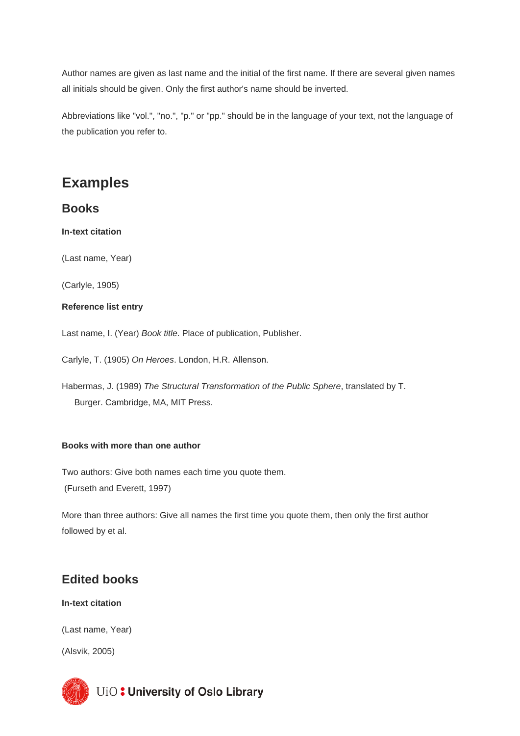Author names are given as last name and the initial of the first name. If there are several given names all initials should be given. Only the first author's name should be inverted.

Abbreviations like "vol.", "no.", "p." or "pp." should be in the language of your text, not the language of the publication you refer to.

## **Examples**

### **Books**

**In-text citation**

(Last name, Year)

(Carlyle, 1905)

#### **Reference list entry**

Last name, I. (Year) *Book title*. Place of publication, Publisher.

Carlyle, T. (1905) *On Heroes*. London, H.R. Allenson.

Habermas, J. (1989) *The Structural Transformation of the Public Sphere*, translated by T. Burger. Cambridge, MA, MIT Press.

#### **Books with more than one author**

Two authors: Give both names each time you quote them. (Furseth and Everett, 1997)

More than three authors: Give all names the first time you quote them, then only the first author followed by et al.

## **Edited books**

**In-text citation**

(Last name, Year)

(Alsvik, 2005)

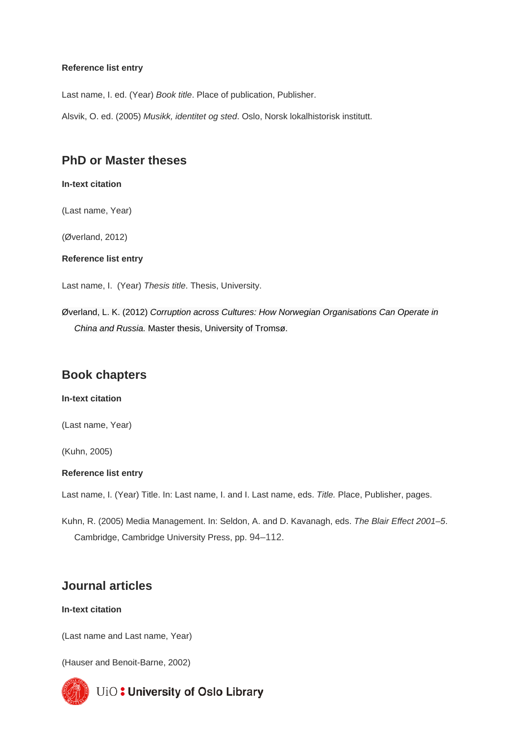#### **Reference list entry**

Last name, I. ed. (Year) *Book title*. Place of publication, Publisher.

Alsvik, O. ed. (2005) *Musikk, identitet og sted*. Oslo, Norsk lokalhistorisk institutt.

## **PhD or Master theses**

#### **In-text citation**

(Last name, Year)

(Øverland, 2012)

**Reference list entry**

Last name, I. (Year) *Thesis title*. Thesis, University.

Øverland, L. K. (2012) *Corruption across Cultures: How Norwegian Organisations Can Operate in China and Russia.* Master thesis, University of Tromsø.

## **Book chapters**

#### **In-text citation**

(Last name, Year)

(Kuhn, 2005)

#### **Reference list entry**

Last name, I. (Year) Title. In: Last name, I. and I. Last name, eds. *Title.* Place, Publisher, pages.

Kuhn, R. (2005) Media Management. In: Seldon, A. and D. Kavanagh, eds. *The Blair Effect 2001–5*. Cambridge, Cambridge University Press, pp. 94–112.

### **Journal articles**

#### **In-text citation**

(Last name and Last name, Year)

(Hauser and Benoit-Barne, 2002)

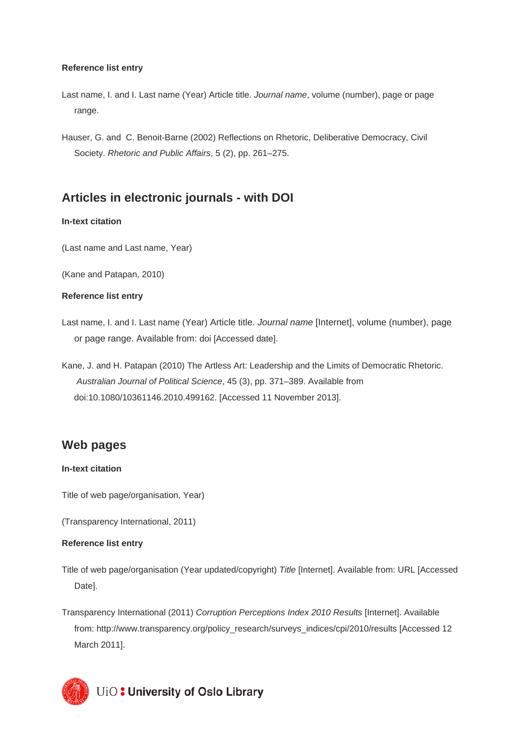#### **Reference list entry**

- Last name, I. and I. Last name (Year) Article title. *Journal name*, volume (number), page or page range.
- Hauser, G. and C. Benoit-Barne (2002) Reflections on Rhetoric, Deliberative Democracy, Civil Society. *Rhetoric and Public Affairs*, 5 (2), pp. 261–275.

## **Articles in electronic journals - with DOI**

#### **In-text citation**

(Last name and Last name, Year)

(Kane and Patapan, 2010)

#### **Reference list entry**

- Last name, I. and I. Last name (Year) Article title. *Journal name* [Internet], volume (number), page or page range. Available from: doi [Accessed date].
- Kane, J. and H. Patapan (2010) The Artless Art: Leadership and the Limits of Democratic Rhetoric. *Australian Journal of Political Science*, 45 (3), pp. 371–389. Available from doi:10.1080/10361146.2010.499162. [Accessed 11 November 2013].

### **Web pages**

#### **In-text citation**

Title of web page/organisation, Year)

(Transparency International, 2011)

#### **Reference list entry**

Title of web page/organisation (Year updated/copyright) *Title* [Internet]. Available from: URL [Accessed Date].

Transparency International (2011) *Corruption Perceptions Index 2010 Results* [Internet]. Available from: http://www.transparency.org/policy\_research/surveys\_indices/cpi/2010/results [Accessed 12 March 2011].